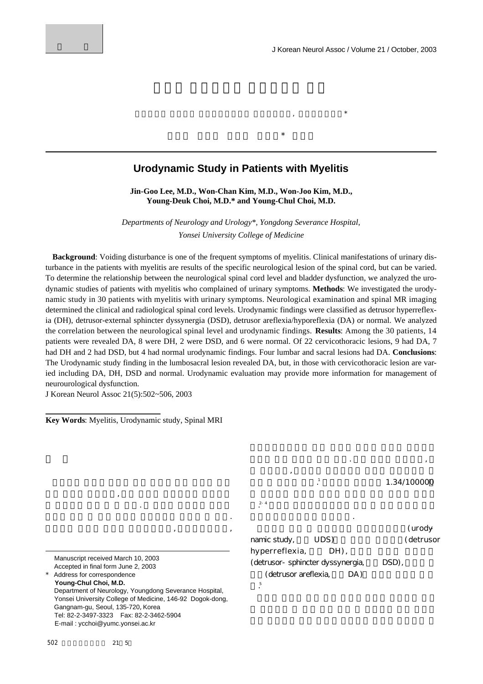## **Urodynamic Study in Patients with Myelitis**

 $\star$ 

 $\star$ 

**Jin-Goo Lee, M.D., Won-Chan Kim, M.D., Won-Joo Kim, M.D., Young-Deuk Choi, M.D.\* and Young-Chul Choi, M.D.**

*Departments of Neurology and Urology\*, Yongdong Severance Hospital, Yonsei University College of Medicine*

**Background**: Voiding disturbance is one of the frequent symptoms of myelitis. Clinical manifestations of urinary disturbance in the patients with myelitis are results of the specific neurological lesion of the spinal cord, but can be varied. To determine the relationship between the neurological spinal cord level and bladder dysfunction, we analyzed the urodynamic studies of patients with myelitis who complained of urinary symptoms. **Methods**: We investigated the urodynamic study in 30 patients with myelitis with urinary symptoms. Neurological examination and spinal MR imaging determined the clinical and radiological spinal cord levels. Urodynamic findings were classified as detrusor hyperreflexia (DH), detrusor-external sphincter dyssynergia (DSD), detrusor areflexia/hyporeflexia (DA) or normal. We analyzed the correlation between the neurological spinal level and urodynamic findings. **Results**: Among the 30 patients, 14 patients were revealed DA, 8 were DH, 2 were DSD, and 6 were normal. Of 22 cervicothoracic lesions, 9 had DA, 7 had DH and 2 had DSD, but 4 had normal urodynamic findings. Four lumbar and sacral lesions had DA. **Conclusions**: The Urodynamic study finding in the lumbosacral lesion revealed DA, but, in those with cervicothoracic lesion are varied including DA, DH, DSD and normal. Urodynamic evaluation may provide more information for management of neurourological dysfunction.

J Korean Neurol Assoc 21(5):502~506, 2003

**Key Words**: Myelitis, Urodynamic study, Spinal MRI

 $\mathcal{A}$ 배치장애 등이 있다. 그 원인은 자기만역 질환과 대표 감염성 질환 원인 미상의 척수염으로 구분할 있다.  $\,$ ,  $\,$ ,  $\,$ ,  $\,$ ,  $\,$ ,  $\,$ ,  $\,$ ,  $\,$ ,  $\,$ ,  $\,$ ,  $\,$ ,  $\,$ ,  $\,$ ,  $\,$ ,  $\,$ ,  $\,$ ,  $\,$ ,  $\,$ ,  $\,$ ,  $\,$ ,  $\,$ ,  $\,$ ,  $\,$ ,  $\,$ ,  $\,$ ,  $\,$ ,  $\,$ ,  $\,$ ,  $\,$ ,  $\,$ ,  $\,$ ,  $\,$ ,  $\,$ ,  $\,$ ,  $\,$ ,  $\,$ ,  $\,$ ,

1.34/100000

Manuscript received March 10, 2003 Accepted in final form June 2, 2003

Address for correspondence **Young-Chul Choi, M.D.**  Department of Neurology, Youngdong Severance Hospital, Yonsei University College of Medicine, 146-92 Dogok-dong, Gangnam-gu, Seoul, 135-720, Korea Tel: 82-2-3497-3323 Fax: 82-2-3462-5904 E-mail : ycchoi@yumc.yonsei.ac.kr

namic study, UDS ) (detrus or hyperreflexia, DH), (detrusor-sphincter dyssynergia, DSD), (detrusor areflexia, DA)

요법이있으나효과는 좋지않다.

타낼 있다고 한다.

다.

다. 5

감염에 의한 척수염 등이 있다. 특히 콕사키 바이러스, 에  $\overline{\phantom{a}}$ 

 $2 - 4$ 

(urody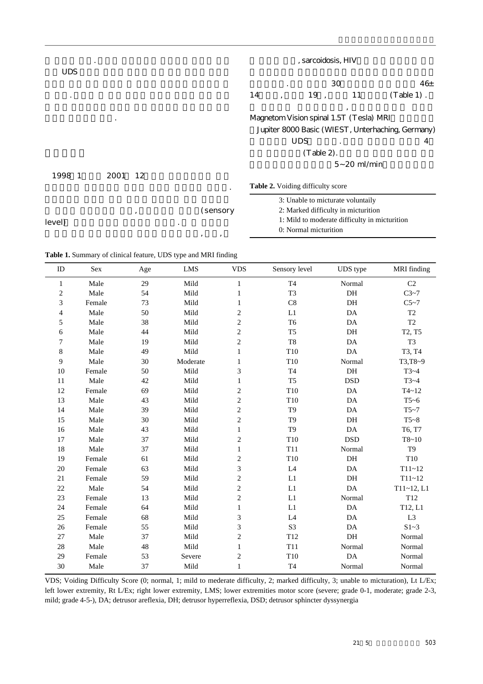|            |           |    |          | , sarcoidosis, HIV                                |    |                                               |                 |               |  |
|------------|-----------|----|----------|---------------------------------------------------|----|-----------------------------------------------|-----------------|---------------|--|
| <b>UDS</b> |           |    |          |                                                   | 30 |                                               | 46 <sub>±</sub> |               |  |
|            |           |    |          | 14                                                |    | 19,                                           | 11              | $(Table 1)$ . |  |
|            | $\bullet$ |    |          | Magnetom Vision spinal 1.5T (Tesla) MRI           |    |                                               |                 |               |  |
|            |           |    |          | Jupiter 8000 Basic (WIEST, Unterhaching, Germany) |    |                                               |                 |               |  |
|            |           |    |          |                                                   |    | <b>UDS</b>                                    |                 | 4             |  |
|            |           |    |          |                                                   |    | $(Table 2)$ .                                 |                 |               |  |
|            |           |    |          |                                                   |    |                                               | $5 - 20$ ml/min |               |  |
| 1998 1     | 2001      | 12 |          |                                                   |    |                                               |                 |               |  |
|            |           |    |          | Table 2. Voiding difficulty score                 |    |                                               |                 |               |  |
|            |           |    |          |                                                   |    | 3: Unable to micturate voluntaily             |                 |               |  |
| level)     |           | ,  | (sensory |                                                   |    | 2: Marked difficulty in micturition           |                 |               |  |
|            |           |    |          |                                                   |    | 1: Mild to moderate difficulty in micturition |                 |               |  |
|            |           |    | , ,      |                                                   |    | 0: Normal micturition                         |                 |               |  |

**Table 1.** Summary of clinical feature, UDS type and MRI finding

| ID             | Sex    | Age | ${\rm LMS}$ | <b>VDS</b>     | Sensory level   | UDS type      | <b>MRI</b> finding              |
|----------------|--------|-----|-------------|----------------|-----------------|---------------|---------------------------------|
| 1              | Male   | 29  | Mild        | $\mathbf{1}$   | T <sub>4</sub>  | Normal        | C <sub>2</sub>                  |
| $\overline{c}$ | Male   | 54  | Mild        | $\mathbf{1}$   | T <sub>3</sub>  | DH            | C3~1                            |
| 3              | Female | 73  | Mild        | 1              | C8              | DH            | C5~2                            |
| 4              | Male   | 50  | Mild        | 2              | L1              | DA            | T <sub>2</sub>                  |
| 5              | Male   | 38  | Mild        | $\overline{c}$ | T <sub>6</sub>  | DA            | T <sub>2</sub>                  |
| 6              | Male   | 44  | Mild        | $\overline{c}$ | T <sub>5</sub>  | DH            | T <sub>2</sub> , T <sub>5</sub> |
| 7              | Male   | 19  | Mild        | $\overline{c}$ | T <sub>8</sub>  | DA            | T <sub>3</sub>                  |
| 8              | Male   | 49  | Mild        | $\mathbf{1}$   | T10             | $\mathbf{DA}$ | T3, T4                          |
| 9              | Male   | 30  | Moderate    | 1              | T10             | Normal        | T3,T8~9                         |
| 10             | Female | 50  | Mild        | 3              | T <sub>4</sub>  | DH            | $T3-4$                          |
| 11             | Male   | 42  | Mild        | 1              | T <sub>5</sub>  | <b>DSD</b>    | $T3-4$                          |
| 12             | Female | 69  | Mild        | $\overline{c}$ | T10             | DA            | $T4 - 12$                       |
| 13             | Male   | 43  | Mild        | 2              | T <sub>10</sub> | DA            | $T5-6$                          |
| 14             | Male   | 39  | Mild        | $\overline{c}$ | T <sub>9</sub>  | DA            | T5~17                           |
| 15             | Male   | 30  | Mild        | $\overline{c}$ | T <sub>9</sub>  | DH            | $T5-8$                          |
| 16             | Male   | 43  | Mild        | 1              | T <sub>9</sub>  | DA            | T6, T7                          |
| 17             | Male   | 37  | Mild        | $\overline{c}$ | T10             | <b>DSD</b>    | $T8 - 10$                       |
| 18             | Male   | 37  | Mild        | $\mathbf{1}$   | T11             | Normal        | T <sub>9</sub>                  |
| 19             | Female | 61  | Mild        | $\overline{c}$ | T10             | DH            | T10                             |
| 20             | Female | 63  | Mild        | 3              | L4              | DA            | $T11 - 12$                      |
| 21             | Female | 59  | Mild        | $\overline{c}$ | L1              | DH            | $T11 - 12$                      |
| 22             | Male   | 54  | Mild        | $\overline{c}$ | L1              | DA            | $T11 - 12, L1$                  |
| 23             | Female | 13  | Mild        | $\overline{c}$ | L1              | Normal        | T <sub>12</sub>                 |
| 24             | Female | 64  | Mild        | $\mathbf{1}$   | L1              | DA            | T12, L1                         |
| 25             | Female | 68  | Mild        | 3              | $\mathbf{L}4$   | DA            | L <sub>3</sub>                  |
| 26             | Female | 55  | Mild        | 3              | S <sub>3</sub>  | DA            | S1~3                            |
| 27             | Male   | 37  | Mild        | $\overline{c}$ | T <sub>12</sub> | DH            | Normal                          |
| 28             | Male   | 48  | Mild        | 1              | T11             | Normal        | Normal                          |
| 29             | Female | 53  | Severe      | 2              | T10             | DA            | Normal                          |
| 30             | Male   | 37  | Mild        | $\mathbf{1}$   | T <sub>4</sub>  | Normal        | Normal                          |

VDS; Voiding Difficulty Score (0; normal, 1; mild to mederate difficulty, 2; marked difficulty, 3; unable to micturation), Lt L/Ex; left lower extremity, Rt L/Ex; right lower extremity, LMS; lower extremities motor score (severe; grade 0-1, moderate; grade 2-3, mild; grade 4-5-), DA; detrusor areflexia, DH; detrusor hyperreflexia, DSD; detrusor sphincter dyssynergia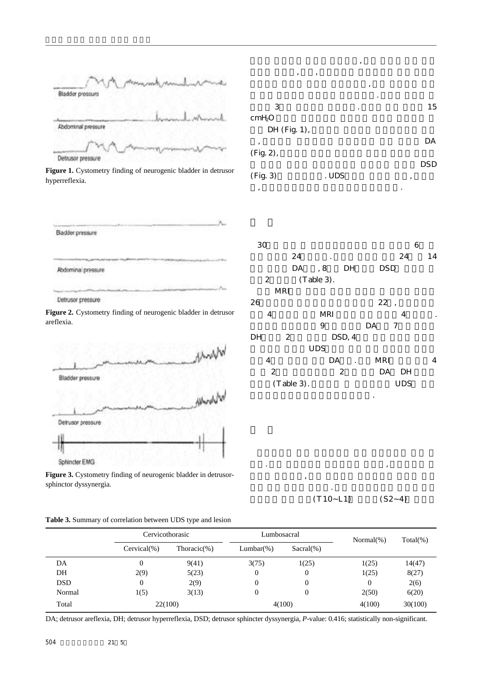|                    | tring mints |
|--------------------|-------------|
| Bladder pressure   |             |
|                    |             |
| Abdominal pressure |             |
|                    |             |
| Detrusor pressure  |             |

Figure 1. Cystometry finding of neurogenic bladder in detrusor hyperreflexia.

| Badder pressure      |               |                    |  |
|----------------------|---------------|--------------------|--|
|                      |               |                    |  |
|                      | アンスティング ミドバード | <b>SANDRA MORE</b> |  |
| Abdominal pressure   |               |                    |  |
| TAL HAWAY 1 2004 MAR |               |                    |  |
|                      |               |                    |  |
| Detrusor pressure    |               |                    |  |

Figure 2. Cystometry finding of neurogenic bladder in detrusor areflexia.



Figure 3. Cystometry finding of neurogenic bladder in detrusorsphinctor dyssynergia.

**Table 3.** Summary of correlation between UDS type and lesion

| ,<br>,                         |       | , |          |
|--------------------------------|-------|---|----------|
| 3<br>cmH <sub>2</sub> O        |       | ٠ | 15       |
| DH (Fig. 1),<br>,<br>(Fig. 2), |       |   | DA       |
| (Fig. 3)                       | . UDS |   | DSD<br>, |
| ,                              |       |   | ٠        |

 $\overline{\phantom{a}}$ 

 $30$  6  $24$  .  $24$  14 DA , 8 DH DSD 2 (Table 3). d M R I M R I W R I W R I W R I W R I W R I W R I W R I W R I W R I W R I W R I W R I W R I W R I W R I W R I W  $26$  22, 4 MRI 4. 8 DA 7  $DH$  2 DSD, 4 다양한 형태의U D S소견을 보인 반면 요천수부 병변에 4 DA . MRI 4

 $2$  DA DH  $(Table 3)$ . UDS 관계는통계학적으로유의하지않았다.

 $(T 10 - L1)$   $(S 2 - 4)$ 

 $\mathcal{L}$  is a set of the mass of the mass of the mass of the mass of the mass of the mass of the mass of the mass of the mass of the mass of the mass of the mass of the mass of the mass of the mass of the mass of the mass  $\mathcal{A}$ 피질 억제 조절을 받는다. 척수 배뇨중추에서 배뇨는요수

|            | Cervicothorasic |                 | Lumbosacral      |                | $Normal(\% )$ | $Total(\% )$ |
|------------|-----------------|-----------------|------------------|----------------|---------------|--------------|
|            | $Cervical(\%)$  | Thoracic $(\%)$ | $Lumbar(\%)$     | $Sacral(\%)$   |               |              |
| DA         | 0               | 9(41)           | 3(75)            | 1(25)          | 1(25)         | 14(47)       |
| DH         | 2(9)            | 5(23)           | $\overline{0}$   | $\theta$       | 1(25)         | 8(27)        |
| <b>DSD</b> | 0               | 2(9)            | $\theta$         | $\overline{0}$ | 0             | 2(6)         |
| Normal     | 1(5)            | 3(13)           | $\boldsymbol{0}$ | $\overline{0}$ | 2(50)         | 6(20)        |
| Total      | 22(100)         |                 | 4(100)           |                | 4(100)        | 30(100)      |

DA; detrusor areflexia, DH; detrusor hyperreflexia, DSD; detrusor sphincter dyssynergia, *P*-value: 0.416; statistically non-significant.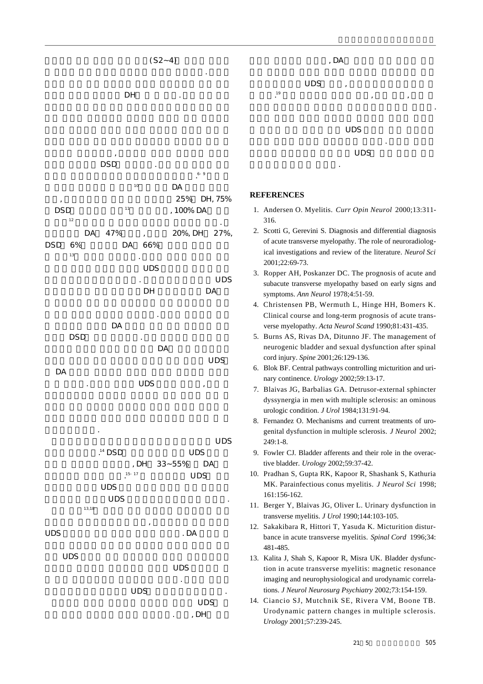

 $(S2 - 4)$ 

위치한 천수 부교감신경핵에 의해서 조절된다. 전두엽

 $UDS$  ,









기와의 상관관계를 밝혀이를 임상적지표로삼고 싶었다.

시간적 경과에 따라서 변화한다는 것이다. 따라서 척수염

 $UDS$ 

## **REFERENCES**

하에치료를해야할 것이다.

한다.

- 1. Andersen O. Myelitis. *Curr Opin Neurol* 2000;13:311-316.
- 12. Scotti G, Gerevini S. Diagnosis and differential diagnosis of acute transverse myelopathy. The role of neuroradiological investigations and review of the literature. *Neurol Sci* 2001;22:69-73.
- 13. Ropper AH, Poskanzer DC. The prognosis of acute and subacute transverse myelopathy based on early signs and symptoms. *Ann Neurol* 1978;4:51-59.
- 14. Christensen PB, Wermuth L, Hinge HH, Bomers K. Clinical course and long-term prognosis of acute transverse myelopathy. *Acta Neurol Scand* 1990;81:431-435.
- 15. Burns AS, Rivas DA, Ditunno JF. The management of neurogenic bladder and sexual dysfunction after spinal cord injury. *Spine* 2001;26:129-136.
- 16. Blok BF. Central pathways controlling micturition and urinary continence. *Urology* 2002;59:13-17.
- 17. Blaivas JG, Barbalias GA. Detrusor-external sphincter dyssynergia in men with multiple sclerosis: an ominous urologic condition. *J Urol* 1984;131:91-94.
- 18. Fernandez O. Mechanisms and current treatments of urogenital dysfunction in multiple sclerosis. *J Neurol* 2002; 249:1-8.
- 19. Fowler CJ. Bladder afferents and their role in the overactive bladder. *Urology* 2002;59:37-42.
- 10. Pradhan S, Gupta RK, Kapoor R, Shashank S, Kathuria MK. Parainfectious conus myelitis. *J Neurol Sci* 1998; 161:156-162.
- 11. Berger Y, Blaivas JG, Oliver L. Urinary dysfunction in transverse myelitis. *J Urol* 1990;144:103-105.
- 12. Sakakibara R, Hittori T, Yasuda K. Micturition disturbance in acute transverse myelitis. *Spinal Cord* 1996;34: 481-485.
- 13. Kalita J, Shah S, Kapoor R, Misra UK. Bladder dysfunction in acute transverse myelitis: magnetic resonance imaging and neurophysiological and urodynamic correlations. *J Neurol Neurosurg Psychiatry* 2002;73:154-159.
- 14. Ciancio SJ, Mutchnik SE, Rivera VM, Boone TB. Urodynamic pattern changes in multiple sclerosis. *Urology* 2001;57:239-245.